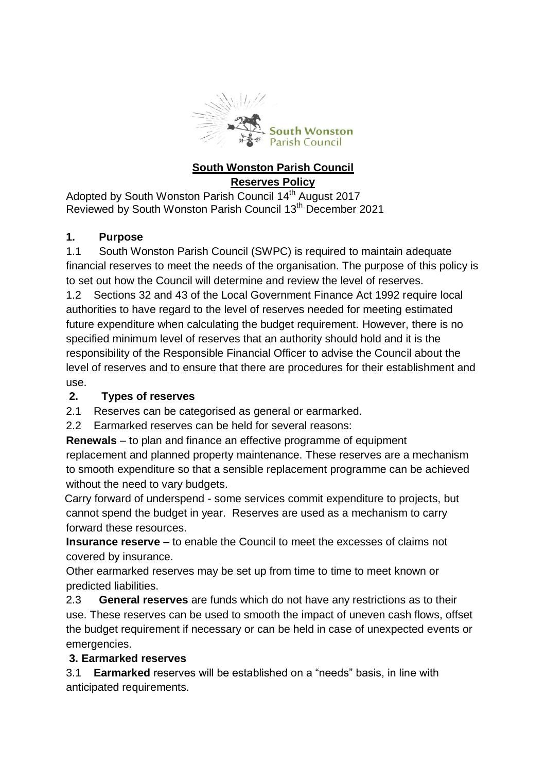

#### **South Wonston Parish Council Reserves Policy**

Adopted by South Wonston Parish Council 14<sup>th</sup> August 2017 Reviewed by South Wonston Parish Council 13th December 2021

# **1. Purpose**

1.1 South Wonston Parish Council (SWPC) is required to maintain adequate financial reserves to meet the needs of the organisation. The purpose of this policy is to set out how the Council will determine and review the level of reserves.

1.2 Sections 32 and 43 of the Local Government Finance Act 1992 require local authorities to have regard to the level of reserves needed for meeting estimated future expenditure when calculating the budget requirement. However, there is no specified minimum level of reserves that an authority should hold and it is the responsibility of the Responsible Financial Officer to advise the Council about the level of reserves and to ensure that there are procedures for their establishment and use.

## **2. Types of reserves**

2.1 Reserves can be categorised as general or earmarked.

2.2 Earmarked reserves can be held for several reasons:

**Renewals** – to plan and finance an effective programme of equipment replacement and planned property maintenance. These reserves are a mechanism to smooth expenditure so that a sensible replacement programme can be achieved without the need to vary budgets.

 Carry forward of underspend - some services commit expenditure to projects, but cannot spend the budget in year. Reserves are used as a mechanism to carry forward these resources.

**Insurance reserve** – to enable the Council to meet the excesses of claims not covered by insurance.

Other earmarked reserves may be set up from time to time to meet known or predicted liabilities.

2.3 **General reserves** are funds which do not have any restrictions as to their use. These reserves can be used to smooth the impact of uneven cash flows, offset the budget requirement if necessary or can be held in case of unexpected events or emergencies.

## **3. Earmarked reserves**

 3.1 **Earmarked** reserves will be established on a "needs" basis, in line with anticipated requirements.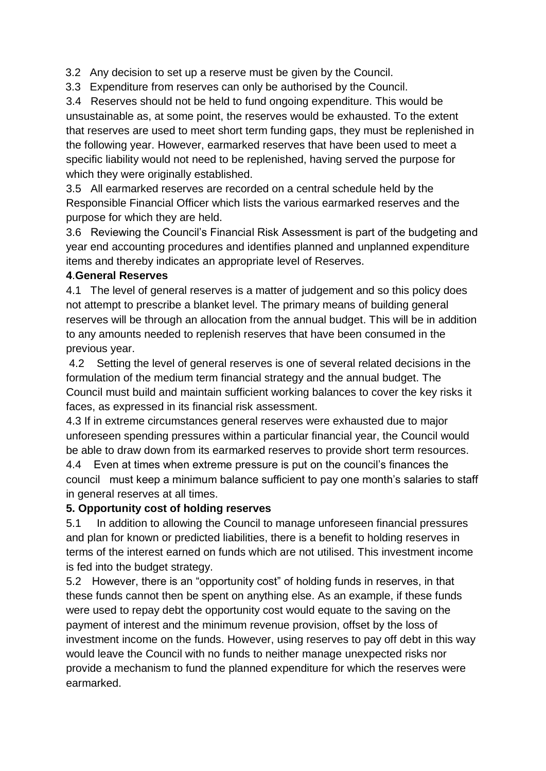3.2 Any decision to set up a reserve must be given by the Council.

3.3 Expenditure from reserves can only be authorised by the Council.

 3.4 Reserves should not be held to fund ongoing expenditure. This would be unsustainable as, at some point, the reserves would be exhausted. To the extent that reserves are used to meet short term funding gaps, they must be replenished in the following year. However, earmarked reserves that have been used to meet a specific liability would not need to be replenished, having served the purpose for which they were originally established.

 3.5 All earmarked reserves are recorded on a central schedule held by the Responsible Financial Officer which lists the various earmarked reserves and the purpose for which they are held.

 3.6 Reviewing the Council's Financial Risk Assessment is part of the budgeting and year end accounting procedures and identifies planned and unplanned expenditure items and thereby indicates an appropriate level of Reserves.

#### **4**.**General Reserves**

4.1 The level of general reserves is a matter of judgement and so this policy does not attempt to prescribe a blanket level. The primary means of building general reserves will be through an allocation from the annual budget. This will be in addition to any amounts needed to replenish reserves that have been consumed in the previous year.

4.2 Setting the level of general reserves is one of several related decisions in the formulation of the medium term financial strategy and the annual budget. The Council must build and maintain sufficient working balances to cover the key risks it faces, as expressed in its financial risk assessment.

4.3 If in extreme circumstances general reserves were exhausted due to major unforeseen spending pressures within a particular financial year, the Council would be able to draw down from its earmarked reserves to provide short term resources.

4.4 Even at times when extreme pressure is put on the council's finances the council must keep a minimum balance sufficient to pay one month's salaries to staff in general reserves at all times.

## **5. Opportunity cost of holding reserves**

5.1 In addition to allowing the Council to manage unforeseen financial pressures and plan for known or predicted liabilities, there is a benefit to holding reserves in terms of the interest earned on funds which are not utilised. This investment income is fed into the budget strategy.

5.2 However, there is an "opportunity cost" of holding funds in reserves, in that these funds cannot then be spent on anything else. As an example, if these funds were used to repay debt the opportunity cost would equate to the saving on the payment of interest and the minimum revenue provision, offset by the loss of investment income on the funds. However, using reserves to pay off debt in this way would leave the Council with no funds to neither manage unexpected risks nor provide a mechanism to fund the planned expenditure for which the reserves were earmarked.